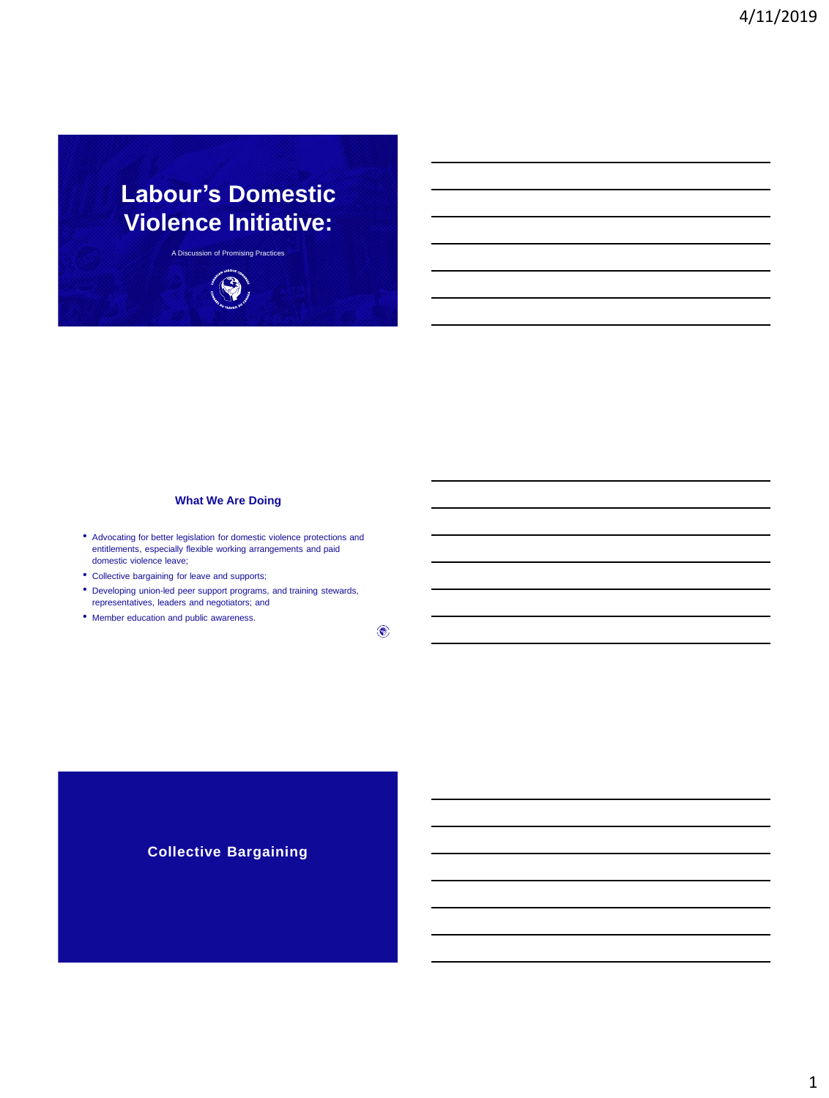# **Labour's Domestic Violence Initiative:**

A Discussion of Promising Practices



## **What We Are Doing**

- Advocating for better legislation for domestic violence protections and entitlements, especially flexible working arrangements and paid domestic violence leave;
- Collective bargaining for leave and supports;
- Developing union-led peer support programs, and training stewards, representatives, leaders and negotiators; and
- Member education and public awareness.

 $\circledcirc$ 

## **Collective Bargaining**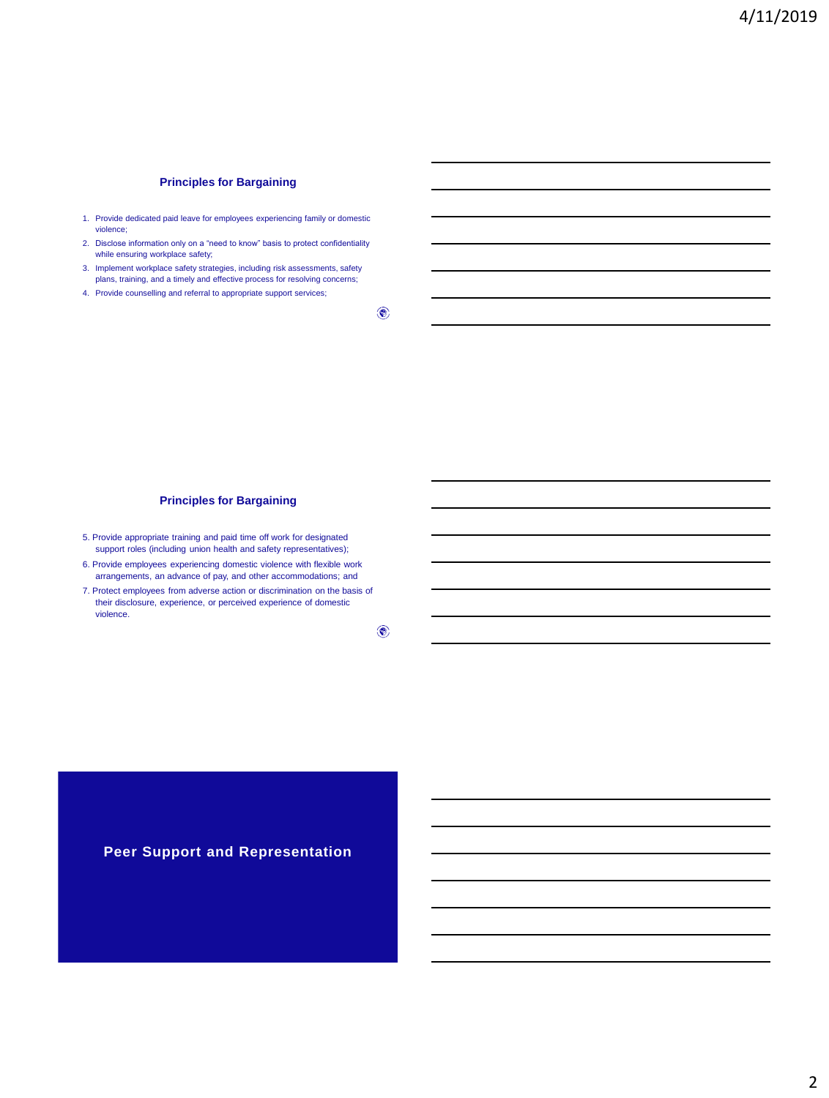## **Principles for Bargaining**

- 1. Provide dedicated paid leave for employees experiencing family or domestic violence;
- 2. Disclose information only on a "need to know" basis to protect confidentiality while ensuring workplace safety;
- 3. Implement workplace safety strategies, including risk assessments, safety plans, training, and a timely and effective process for resolving concerns;
- 4. Provide counselling and referral to appropriate support services;

 $\circledast$ 

### **Principles for Bargaining**

- 5. Provide appropriate training and paid time off work for designated support roles (including union health and safety representatives);
- 6. Provide employees experiencing domestic violence with flexible work arrangements, an advance of pay, and other accommodations; and
- 7. Protect employees from adverse action or discrimination on the basis of their disclosure, experience, or perceived experience of domestic violence.

 $\circledcirc$ 

**Peer Support and Representation**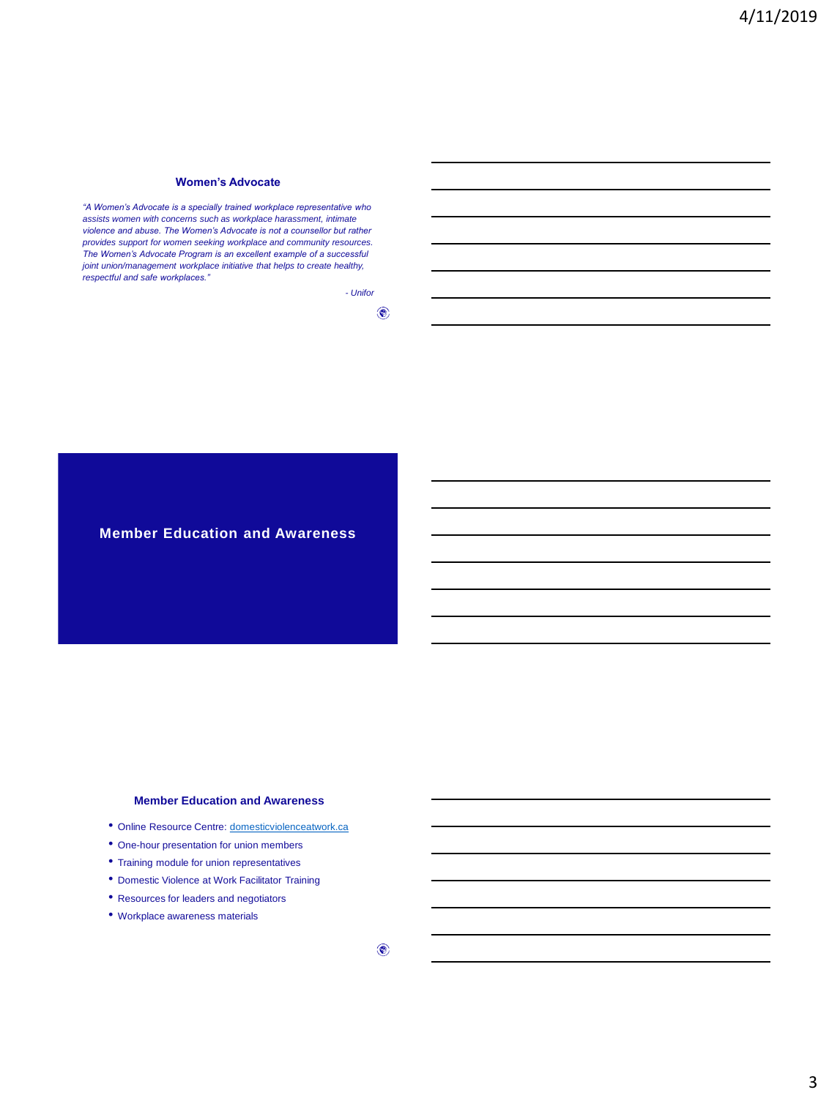#### **Women's Advocate**

*"A Women's Advocate is a specially trained workplace representative who assists women with concerns such as workplace harassment, intimate violence and abuse. The Women's Advocate is not a counsellor but rather provides support for women seeking workplace and community resources. The Women's Advocate Program is an excellent example of a successful joint union/management workplace initiative that helps to create healthy, respectful and safe workplaces."*

> *- Unifor*  $\circledast$

**Member Education and Awareness**

#### **Member Education and Awareness**

- Online Resource Centre:<domesticviolenceatwork.ca>
- One-hour presentation for union members
- Training module for union representatives
- Domestic Violence at Work Facilitator Training
- Resources for leaders and negotiators
- Workplace awareness materials

 $\circledast$